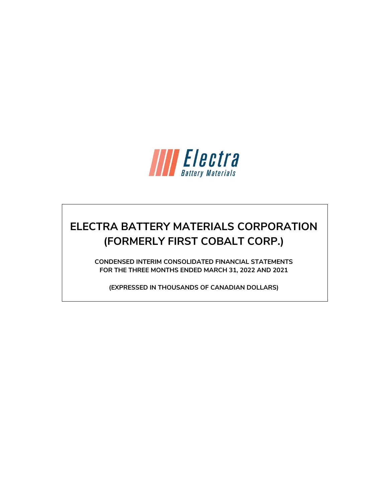

# **ELECTRA BATTERY MATERIALS CORPORATION (FORMERLY FIRST COBALT CORP.)**

**CONDENSED INTERIM CONSOLIDATED FINANCIAL STATEMENTS FOR THE THREE MONTHS ENDED MARCH 31, 2022 AND 2021**

**(EXPRESSED IN THOUSANDS OF CANADIAN DOLLARS)**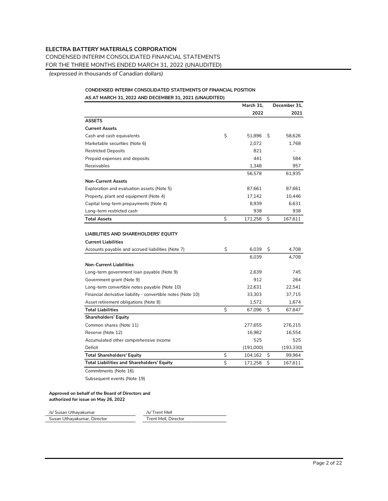CONDENSED INTERIM CONSOLIDATED FINANCIAL STATEMENTS

FOR THE THREE MONTHS ENDED MARCH 31, 2022 (UNAUDITED)

*(expressed in thousands of Canadian dollars)*

## **CONDENSED INTERIM CONSOLIDATED STATEMENTS OF FINANCIAL POSITION AS AT MARCH 31, 2022 AND DECEMBER 31, 2021 (UNAUDITED)**

|                                                              | March 31,     |    | December 31, |
|--------------------------------------------------------------|---------------|----|--------------|
|                                                              | 2022          |    | 2021         |
| <b>ASSETS</b>                                                |               |    |              |
| <b>Current Assets</b>                                        |               |    |              |
| Cash and cash equivalents                                    | \$<br>51,896  | S  | 58,626       |
| Marketable securities (Note 6)                               | 2.072         |    | 1,768        |
| <b>Restricted Deposits</b>                                   | 821           |    |              |
| Prepaid expenses and deposits                                | 441           |    | 584          |
| Receivables                                                  | 1,348         |    | 957          |
|                                                              | 56,578        |    | 61,935       |
| <b>Non-Current Assets</b>                                    |               |    |              |
| Exploration and evaluation assets (Note 5)                   | 87,661        |    | 87,661       |
| Property, plant and equipment (Note 4)                       | 17,142        |    | 10,446       |
| Capital long-term prepayments (Note 4)                       | 8,939         |    | 6,631        |
| Long-term restricted cash                                    | 938           |    | 938          |
| <b>Total Assets</b>                                          | \$<br>171,258 | \$ | 167,611      |
|                                                              |               |    |              |
| LIABILITIES AND SHAREHOLDERS' EQUITY                         |               |    |              |
| <b>Current Liabilities</b>                                   |               |    |              |
| Accounts payable and accrued liabilities (Note 7)            | \$<br>6,039   | \$ | 4,708        |
|                                                              | 6,039         |    | 4,708        |
| <b>Non-Current Liabilities</b>                               |               |    |              |
| Long-term government loan payable (Note 9)                   | 2,639         |    | 745          |
| Government grant (Note 9)                                    | 912           |    | 264          |
| Long-term convertible notes payable (Note 10)                | 22,631        |    | 22,541       |
| Financial derivative liability - convertible notes (Note 10) | 33,303        |    | 37,715       |
| Asset retirement obligations (Note 8)                        | 1,572         |    | 1,674        |
| <b>Total Liabilities</b>                                     | \$<br>67,096  | \$ | 67,647       |
| <b>Shareholders' Equity</b>                                  |               |    |              |
| Common shares (Note 11)                                      | 277,655       |    | 276,215      |
| Reserve (Note 12)                                            | 16,982        |    | 16,554       |
| Accumulated other comprehensive income                       | 525           |    | 525          |
| Deficit                                                      | (191,000)     |    | (193, 330)   |
| <b>Total Shareholders' Equity</b>                            | \$<br>104,162 | \$ | 99,964       |
| <b>Total Liabilities and Shareholders' Equity</b>            | \$<br>171,258 | Ś  | 167,611      |
| Commitments (Note 16)                                        |               |    |              |

Subsequent events (Note 19)

#### **Approved on behalf of the Board of Directors and authorized for issue on May 26, 2022**

| /s/ Susan Uthayakumar       | /s/ Trent Mell       |
|-----------------------------|----------------------|
| Susan Uthayakumar, Director | Trent Mell. Director |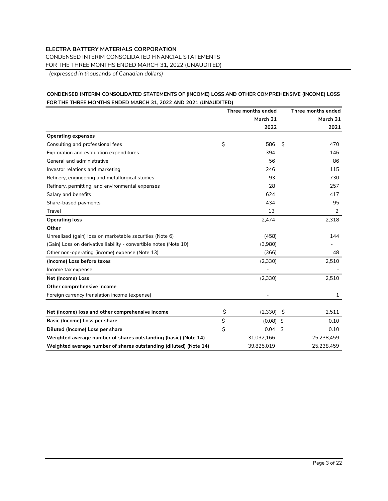CONDENSED INTERIM CONSOLIDATED FINANCIAL STATEMENTS

FOR THE THREE MONTHS ENDED MARCH 31, 2022 (UNAUDITED)

*(expressed in thousands of Canadian dollars)*

## **CONDENSED INTERIM CONSOLIDATED STATEMENTS OF (INCOME) LOSS AND OTHER COMPREHENSIVE (INCOME) LOSS FOR THE THREE MONTHS ENDED MARCH 31, 2022 AND 2021 (UNAUDITED)**

|                                                                   | Three months ended |    | Three months ended |
|-------------------------------------------------------------------|--------------------|----|--------------------|
|                                                                   | March 31           |    | March 31           |
|                                                                   | 2022               |    | 2021               |
| <b>Operating expenses</b>                                         |                    |    |                    |
| Consulting and professional fees                                  | \$<br>586          | Ś. | 470                |
| Exploration and evaluation expenditures                           | 394                |    | 146                |
| General and administrative                                        | 56                 |    | 86                 |
| Investor relations and marketing                                  | 246                |    | 115                |
| Refinery, engineering and metallurgical studies                   | 93                 |    | 730                |
| Refinery, permitting, and environmental expenses                  | 28                 |    | 257                |
| Salary and benefits                                               | 624                |    | 417                |
| Share-based payments                                              | 434                |    | 95                 |
| Travel                                                            | 13                 |    | 2                  |
| <b>Operating loss</b>                                             | 2,474              |    | 2,318              |
| Other                                                             |                    |    |                    |
| Unrealized (gain) loss on marketable securities (Note 6)          | (458)              |    | 144                |
| (Gain) Loss on derivative liability - convertible notes (Note 10) | (3,980)            |    |                    |
| Other non-operating (income) expense (Note 13)                    | (366)              |    | 48                 |
| (Income) Loss before taxes                                        | (2, 330)           |    | 2,510              |
| Income tax expense                                                |                    |    |                    |
| Net (Income) Loss                                                 | (2, 330)           |    | 2,510              |
| Other comprehensive income                                        |                    |    |                    |
| Foreign currency translation income (expense)                     |                    |    | 1                  |
| Net (income) loss and other comprehensive income                  | \$<br>(2, 330)     | S. | 2,511              |
|                                                                   |                    |    |                    |
| Basic (Income) Loss per share                                     | \$<br>$(0.08)$ \$  |    | 0.10               |
| Diluted (Income) Loss per share                                   | \$<br>0.04         | Ŝ  | 0.10               |
| Weighted average number of shares outstanding (basic) (Note 14)   | 31,032,166         |    | 25,238,459         |
| Weighted average number of shares outstanding (diluted) (Note 14) | 39,825,019         |    | 25,238,459         |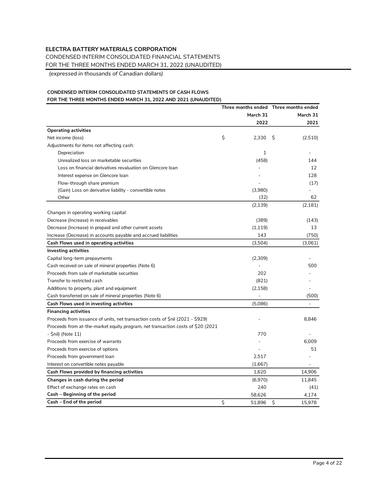CONDENSED INTERIM CONSOLIDATED FINANCIAL STATEMENTS

FOR THE THREE MONTHS ENDED MARCH 31, 2022 (UNAUDITED)

*(expressed in thousands of Canadian dollars)*

## **CONDENSED INTERIM CONSOLIDATED STATEMENTS OF CASH FLOWS FOR THE THREE MONTHS ENDED MARCH 31, 2022 AND 2021 (UNAUDITED)**

|                                                                                  | Three months ended Three months ended |                          |                 |      |
|----------------------------------------------------------------------------------|---------------------------------------|--------------------------|-----------------|------|
|                                                                                  |                                       | March 31                 | March 31        |      |
|                                                                                  |                                       | 2022                     | 2021            |      |
| <b>Operating activities</b>                                                      |                                       |                          |                 |      |
| Net income (loss)                                                                | \$                                    | 2,330                    | - \$<br>(2,510) |      |
| Adjustments for items not affecting cash:                                        |                                       |                          |                 |      |
| Depreciation                                                                     |                                       | 1                        |                 |      |
| Unrealized loss on marketable securities                                         |                                       | (458)                    | 144             |      |
| Loss on financial derivatives revaluation on Glencore Ioan                       |                                       |                          |                 | 12   |
| Interest expense on Glencore loan                                                |                                       |                          | 128             |      |
| Flow-through share premium                                                       |                                       |                          |                 | (17) |
| (Gain) Loss on derivative liability - convertible notes                          |                                       | (3,980)                  |                 |      |
| Other                                                                            |                                       | (32)                     |                 | 62   |
|                                                                                  |                                       | (2, 139)                 | (2, 181)        |      |
| Changes in operating working capital:                                            |                                       |                          |                 |      |
| Decrease (Increase) in receivables                                               |                                       | (389)                    | (143)           |      |
| Decrease (Increase) in prepaid and other current assets                          |                                       | (1, 119)                 |                 | 13   |
| Increase (Decrease) in accounts payable and accrued liabilities                  |                                       | 143                      | (750)           |      |
| Cash Flows used in operating activities                                          |                                       | (3,504)                  | (3,061)         |      |
| <b>Investing activities</b>                                                      |                                       |                          |                 |      |
| Capital long-term prepayments                                                    |                                       | (2,309)                  |                 |      |
| Cash received on sale of mineral properties (Note 6)                             |                                       |                          | 500             |      |
| Proceeds from sale of marketable securities                                      |                                       | 202                      |                 |      |
| Transfer to restricted cash                                                      |                                       | (821)                    |                 |      |
| Additions to property, plant and equipment                                       |                                       | (2, 158)                 |                 |      |
| Cash transferred on sale of mineral properties (Note 6)                          |                                       | $\overline{\phantom{a}}$ | (500)           |      |
| Cash Flows used in investing activities                                          |                                       | (5,086)                  |                 |      |
| <b>Financing activities</b>                                                      |                                       |                          |                 |      |
| Proceeds from issuance of units, net transaction costs of \$nil (2021 - \$929)   |                                       |                          | 8.846           |      |
| Proceeds from at-the-market equity program, net transaction costs of \$20 (2021) |                                       |                          |                 |      |
| - \$nil) (Note 11)                                                               |                                       | 770                      |                 |      |
| Proceeds from exercise of warrants                                               |                                       |                          | 6.009           |      |
| Proceeds from exercise of options                                                |                                       |                          |                 | 51   |
| Proceeds from government loan                                                    |                                       | 2,517                    |                 |      |
| Interest on convertible notes payable                                            |                                       | (1,667)                  |                 |      |
| Cash Flows provided by financing activities                                      |                                       | 1,620                    | 14,906          |      |
| Changes in cash during the period                                                |                                       | (6,970)                  | 11.845          |      |
| Effect of exchange rates on cash                                                 |                                       | 240                      |                 | (41) |
| Cash - Beginning of the period                                                   |                                       | 58.626                   | 4,174           |      |
| Cash - End of the period                                                         | Ś                                     | 51,896                   | \$<br>15,978    |      |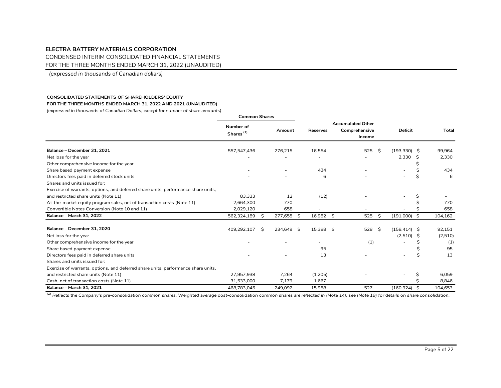CONDENSED INTERIM CONSOLIDATED FINANCIAL STATEMENTS

FOR THE THREE MONTHS ENDED MARCH 31, 2022 (UNAUDITED)

*(expressed in thousands of Canadian dollars)*

#### **CONSOLIDATED STATEMENTS OF SHAREHOLDERS' EQUITY**

**FOR THE THREE MONTHS ENDED MARCH 31, 2022 AND 2021 (UNAUDITED)**

*(expressed in thousands of Canadian Dollars, except for number of share amounts)*

|                                                                                   | <b>Common Shares</b>               |    |           |    |                 |                                                     |    |                          |    |              |
|-----------------------------------------------------------------------------------|------------------------------------|----|-----------|----|-----------------|-----------------------------------------------------|----|--------------------------|----|--------------|
|                                                                                   | Number of<br>Shares <sup>(1)</sup> |    | Amount    |    | <b>Reserves</b> | <b>Accumulated Other</b><br>Comprehensive<br>Income |    | <b>Deficit</b>           |    | <b>Total</b> |
| Balance - December 31, 2021                                                       | 557,547,436                        |    | 276,215   |    | 16,554          | 525                                                 | -S | $(193, 330)$ \$          |    | 99.964       |
| Net loss for the year                                                             |                                    |    |           |    |                 |                                                     |    | 2.330                    | -Ŝ | 2,330        |
| Other comprehensive income for the year                                           |                                    |    |           |    |                 |                                                     |    |                          | Ś  |              |
| Share based payment expense                                                       |                                    |    |           |    | 434             |                                                     |    | $\overline{\phantom{a}}$ |    | 434          |
| Directors fees paid in deferred stock units                                       |                                    |    |           |    | 6               |                                                     |    |                          | \$ | 6            |
| Shares and units issued for:                                                      |                                    |    |           |    |                 |                                                     |    |                          |    |              |
| Exercise of warrants, options, and deferred share units, performance share units, |                                    |    |           |    |                 |                                                     |    |                          |    |              |
| and restricted share units (Note 11)                                              | 83,333                             |    | 12        |    | (12)            |                                                     |    |                          | \$ |              |
| At-the-market equity program sales, net of transaction costs (Note 11)            | 2,664,300                          |    | 770       |    |                 |                                                     |    |                          |    | 770          |
| Convertible Notes Conversion (Note 10 and 11)                                     | 2,029,120                          |    | 658       |    |                 |                                                     |    |                          |    | 658          |
| <b>Balance - March 31, 2022</b>                                                   | 562,324,189                        | Ŝ. | 277,655   | S. | 16,982 \$       | 525                                                 | Ŝ. | $(191,000)$ \$           |    | 104,162      |
| Balance - December 31, 2020                                                       | 409,292,107                        | Ŝ  | 234.649 S |    | 15.388 S        | 528                                                 | Ŝ. | $(158, 414)$ \$          |    | 92,151       |
| Net loss for the year                                                             |                                    |    |           |    |                 |                                                     |    | $(2,510)$ \$             |    | (2,510)      |
| Other comprehensive income for the year                                           |                                    |    |           |    |                 | (1)                                                 |    |                          | Ŝ  | (1)          |
| Share based payment expense                                                       |                                    |    |           |    | 95              |                                                     |    |                          |    | 95           |
| Directors fees paid in deferred share units                                       |                                    |    |           |    | 13              |                                                     |    |                          | \$ | 13           |
| Shares and units issued for:                                                      |                                    |    |           |    |                 |                                                     |    |                          |    |              |
| Exercise of warrants, options, and deferred share units, performance share units, |                                    |    |           |    |                 |                                                     |    |                          |    |              |
| and restricted share units (Note 11)                                              | 27,957,938                         |    | 7,264     |    | (1,205)         |                                                     |    |                          |    | 6,059        |
| Cash, net of transaction costs (Note 11)                                          | 31.533.000                         |    | 7,179     |    | 1.667           |                                                     |    |                          |    | 8,846        |
| <b>Balance - March 31, 2021</b>                                                   | 468,783,045                        |    | 249,092   |    | 15,958          | 527                                                 |    | $(160, 924)$ \$          |    | 104,653      |

*(1) Reflects the Company's pre-consolidation common shares. Weighted average post-consolidation common shares are reflected in (Note 14), see (Note 19) for details on share consolidation.*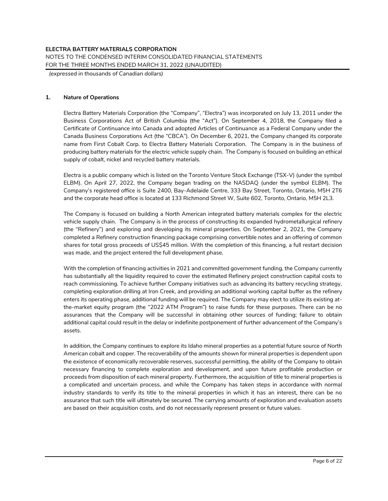*(expressed in thousands of Canadian dollars)*

#### **1. Nature of Operations**

Electra Battery Materials Corporation (the "Company", "Electra") was incorporated on July 13, 2011 under the Business Corporations Act of British Columbia (the "Act"). On September 4, 2018, the Company filed a Certificate of Continuance into Canada and adopted Articles of Continuance as a Federal Company under the Canada Business Corporations Act (the "CBCA"). On December 6, 2021, the Company changed its corporate name from First Cobalt Corp. to Electra Battery Materials Corporation. The Company is in the business of producing battery materials for the electric vehicle supply chain. The Company is focused on building an ethical supply of cobalt, nickel and recycled battery materials.

Electra is a public company which is listed on the Toronto Venture Stock Exchange (TSX-V) (under the symbol ELBM). On April 27, 2022, the Company began trading on the NASDAQ (under the symbol ELBM). The Company's registered office is Suite 2400, Bay-Adelaide Centre, 333 Bay Street, Toronto, Ontario, M5H 2T6 and the corporate head office is located at 133 Richmond Street W, Suite 602, Toronto, Ontario, M5H 2L3.

The Company is focused on building a North American integrated battery materials complex for the electric vehicle supply chain. The Company is in the process of constructing its expanded hydrometallurgical refinery (the "Refinery") and exploring and developing its mineral properties. On September 2, 2021, the Company completed a Refinery construction financing package comprising convertible notes and an offering of common shares for total gross proceeds of US\$45 million. With the completion of this financing, a full restart decision was made, and the project entered the full development phase.

With the completion of financing activities in 2021 and committed government funding, the Company currently has substantially all the liquidity required to cover the estimated Refinery project construction capital costs to reach commissioning. To achieve further Company initiatives such as advancing its battery recycling strategy, completing exploration drilling at Iron Creek, and providing an additional working capital buffer as the refinery enters its operating phase, additional funding will be required. The Company may elect to utilize its existing atthe-market equity program (the "2022 ATM Program") to raise funds for these purposes. There can be no assurances that the Company will be successful in obtaining other sources of funding; failure to obtain additional capital could result in the delay or indefinite postponement of further advancement of the Company's assets.

In addition, the Company continues to explore its Idaho mineral properties as a potential future source of North American cobalt and copper. The recoverability of the amounts shown for mineral properties is dependent upon the existence of economically recoverable reserves, successful permitting, the ability of the Company to obtain necessary financing to complete exploration and development, and upon future profitable production or proceeds from disposition of each mineral property. Furthermore, the acquisition of title to mineral properties is a complicated and uncertain process, and while the Company has taken steps in accordance with normal industry standards to verify its title to the mineral properties in which it has an interest, there can be no assurance that such title will ultimately be secured. The carrying amounts of exploration and evaluation assets are based on their acquisition costs, and do not necessarily represent present or future values.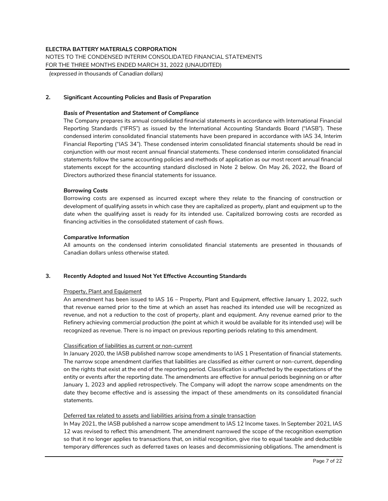*(expressed in thousands of Canadian dollars)*

## **2. Significant Accounting Policies and Basis of Preparation**

#### *Basis of Presentation and Statement of Compliance*

The Company prepares its annual consolidated financial statements in accordance with International Financial Reporting Standards ("IFRS") as issued by the International Accounting Standards Board ("IASB"). These condensed interim consolidated financial statements have been prepared in accordance with IAS 34, Interim Financial Reporting ("IAS 34"). These condensed interim consolidated financial statements should be read in conjunction with our most recent annual financial statements. These condensed interim consolidated financial statements follow the same accounting policies and methods of application as our most recent annual financial statements except for the accounting standard disclosed in Note 2 below. On May 26, 2022, the Board of Directors authorized these financial statements for issuance.

#### *Borrowing Costs*

Borrowing costs are expensed as incurred except where they relate to the financing of construction or development of qualifying assets in which case they are capitalized as property, plant and equipment up to the date when the qualifying asset is ready for its intended use. Capitalized borrowing costs are recorded as financing activities in the consolidated statement of cash flows.

#### *Comparative Information*

All amounts on the condensed interim consolidated financial statements are presented in thousands of Canadian dollars unless otherwise stated.

#### **3. Recently Adopted and Issued Not Yet Effective Accounting Standards**

#### Property, Plant and Equipment

An amendment has been issued to IAS 16 – Property, Plant and Equipment, effective January 1, 2022, such that revenue earned prior to the time at which an asset has reached its intended use will be recognized as revenue, and not a reduction to the cost of property, plant and equipment. Any revenue earned prior to the Refinery achieving commercial production (the point at which it would be available for its intended use) will be recognized as revenue. There is no impact on previous reporting periods relating to this amendment.

## Classification of liabilities as current or non-current

In January 2020, the IASB published narrow scope amendments to IAS 1 Presentation of financial statements. The narrow scope amendment clarifies that liabilities are classified as either current or non-current, depending on the rights that exist at the end of the reporting period. Classification is unaffected by the expectations of the entity or events after the reporting date. The amendments are effective for annual periods beginning on or after January 1, 2023 and applied retrospectively. The Company will adopt the narrow scope amendments on the date they become effective and is assessing the impact of these amendments on its consolidated financial statements.

#### Deferred tax related to assets and liabilities arising from a single transaction

In May 2021, the IASB published a narrow scope amendment to IAS 12 Income taxes. In September 2021, IAS 12 was revised to reflect this amendment. The amendment narrowed the scope of the recognition exemption so that it no longer applies to transactions that, on initial recognition, give rise to equal taxable and deductible temporary differences such as deferred taxes on leases and decommissioning obligations. The amendment is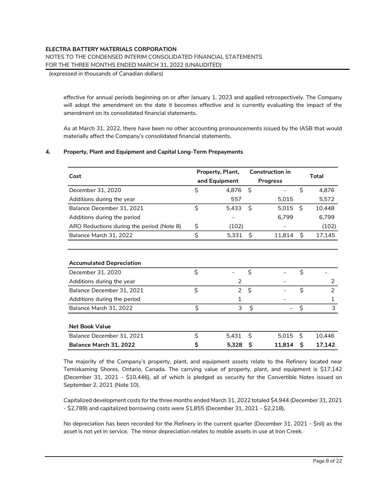## NOTES TO THE CONDENSED INTERIM CONSOLIDATED FINANCIAL STATEMENTS

FOR THE THREE MONTHS ENDED MARCH 31, 2022 (UNAUDITED)

*(expressed in thousands of Canadian dollars)*

effective for annual periods beginning on or after January 1, 2023 and applied retrospectively. The Company will adopt the amendment on the date it becomes effective and is currently evaluating the impact of the amendment on its consolidated financial statements.

As at March 31, 2022, there have been no other accounting pronouncements issued by the IASB that would materially affect the Company's consolidated financial statements.

### **4. Property, Plant and Equipment and Capital Long-Term Prepayments**

| Cost                                      |    | Property, Plant, |         | Construction in |    | Total         |  |
|-------------------------------------------|----|------------------|---------|-----------------|----|---------------|--|
|                                           |    | and Equipment    |         | <b>Progress</b> |    |               |  |
| December 31, 2020                         | \$ | 4,876            | $\zeta$ |                 | \$ | 4,876         |  |
| Additions during the year                 |    | 557              |         | 5,015           |    | 5,572         |  |
| Balance December 31, 2021                 | \$ | 5,433            | \$      | 5,015           | \$ | 10,448        |  |
| Additions during the period               |    |                  |         | 6,799           |    | 6,799         |  |
| ARO Reductions during the period (Note 8) | \$ | (102)            |         |                 |    | (102)         |  |
| Balance March 31, 2022                    | \$ | 5,331            | Ŝ.      | 11,814          | Ŝ. | 17,145        |  |
|                                           |    |                  |         |                 |    |               |  |
|                                           |    |                  |         |                 |    |               |  |
| <b>Accumulated Depreciation</b>           |    |                  |         |                 |    |               |  |
| December 31, 2020                         | \$ |                  | \$      |                 | \$ |               |  |
| Additions during the year                 |    | 2                |         |                 |    | 2             |  |
| Balance December 31, 2021                 | \$ | $\overline{2}$   | Ś.      |                 | \$ | $\mathcal{P}$ |  |
| Additions during the period               |    | 1                |         |                 |    | 1             |  |
| Balance March 31, 2022                    | \$ | 3                | \$      |                 | \$ | 3             |  |
|                                           |    |                  |         |                 |    |               |  |
| <b>Net Book Value</b>                     |    |                  |         |                 |    |               |  |
| Balance December 31, 2021                 | \$ | 5,431            | Ś.      | 5,015           | Ŝ. | 10,446        |  |
| Balance March 31, 2022                    | \$ | 5,328            | Ŝ       | 11,814          | Ŝ  | 17,142        |  |

The majority of the Company's property, plant, and equipment assets relate to the Refinery located near Temiskaming Shores, Ontario, Canada. The carrying value of property, plant, and equipment is \$17,142 (December 31, 2021 - \$10,446), all of which is pledged as security for the Convertible Notes issued on September 2, 2021 (Note 10).

Capitalized development costs for the three months ended March 31, 2022 totaled \$4,944 (December 31, 2021 - \$2,789) and capitalized borrowing costs were \$1,855 (December 31, 2021 - \$2,218).

No depreciation has been recorded for the Refinery in the current quarter (December 31, 2021 - \$nil) as the asset is not yet in service. The minor depreciation relates to mobile assets in use at Iron Creek.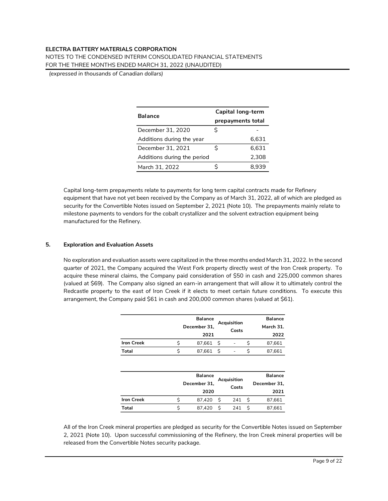NOTES TO THE CONDENSED INTERIM CONSOLIDATED FINANCIAL STATEMENTS FOR THE THREE MONTHS ENDED MARCH 31, 2022 (UNAUDITED)

*(expressed in thousands of Canadian dollars)*

| <b>Balance</b>              | Capital long-term |       |  |  |  |  |  |
|-----------------------------|-------------------|-------|--|--|--|--|--|
|                             | prepayments total |       |  |  |  |  |  |
| December 31, 2020           | Ś                 |       |  |  |  |  |  |
| Additions during the year   |                   | 6,631 |  |  |  |  |  |
| December 31, 2021           | Ś                 | 6,631 |  |  |  |  |  |
| Additions during the period |                   | 2,308 |  |  |  |  |  |
| March 31, 2022              |                   | 8.939 |  |  |  |  |  |

Capital long-term prepayments relate to payments for long term capital contracts made for Refinery equipment that have not yet been received by the Company as of March 31, 2022, all of which are pledged as security for the Convertible Notes issued on September 2, 2021 (Note 10). The prepayments mainly relate to milestone payments to vendors for the cobalt crystallizer and the solvent extraction equipment being manufactured for the Refinery.

## **5. Exploration and Evaluation Assets**

No exploration and evaluation assets were capitalized in the three months ended March 31, 2022. In the second quarter of 2021, the Company acquired the West Fork property directly west of the Iron Creek property. To acquire these mineral claims, the Company paid consideration of \$50 in cash and 225,000 common shares (valued at \$69). The Company also signed an earn-in arrangement that will allow it to ultimately control the Redcastle property to the east of Iron Creek if it elects to meet certain future conditions. To execute this arrangement, the Company paid \$61 in cash and 200,000 common shares (valued at \$61).

|                   | <b>Balance</b>                       |    |       |    | <b>Balance</b> |
|-------------------|--------------------------------------|----|-------|----|----------------|
|                   | Acquisition<br>December 31,          |    |       |    | March 31.      |
|                   | 2021                                 |    | Costs |    | 2022           |
| <b>Iron Creek</b> | \$<br>87,661                         | \$ |       | \$ | 87,661         |
| Total             | \$<br>87,661                         | Ś  |       | \$ | 87,661         |
|                   |                                      |    |       |    |                |
|                   | <b>Balance</b>                       |    |       |    | <b>Balance</b> |
|                   | Acquisition<br>December 31,<br>Costs |    |       |    | December 31,   |
|                   | 2020                                 |    |       |    | 2021           |
| <b>Iron Creek</b> | \$<br>87,420                         | \$ | 241   | \$ | 87,661         |
| Total             | \$<br>87,420                         | Ś  | 241   | \$ | 87,661         |

All of the Iron Creek mineral properties are pledged as security for the Convertible Notes issued on September 2, 2021 (Note 10). Upon successful commissioning of the Refinery, the Iron Creek mineral properties will be released from the Convertible Notes security package.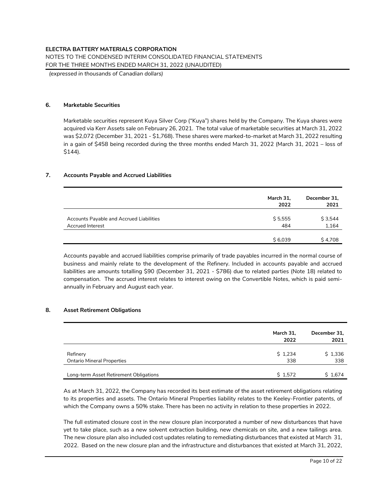## NOTES TO THE CONDENSED INTERIM CONSOLIDATED FINANCIAL STATEMENTS

FOR THE THREE MONTHS ENDED MARCH 31, 2022 (UNAUDITED)

*(expressed in thousands of Canadian dollars)*

#### **6. Marketable Securities**

Marketable securities represent Kuya Silver Corp ("Kuya") shares held by the Company. The Kuya shares were acquired via Kerr Assets sale on February 26, 2021. The total value of marketable securities at March 31, 2022 was \$2,072 (December 31, 2021 - \$1,768). These shares were marked-to-market at March 31, 2022 resulting in a gain of \$458 being recorded during the three months ended March 31, 2022 (March 31, 2021 – loss of \$144).

## **7. Accounts Payable and Accrued Liabilities**

|                                                                     | March 31,<br>2022 | December 31,<br>2021 |
|---------------------------------------------------------------------|-------------------|----------------------|
| Accounts Payable and Accrued Liabilities<br><b>Accrued Interest</b> | \$5,555<br>484    | \$3,544<br>1,164     |
|                                                                     | \$6.039           | \$4,708              |

Accounts payable and accrued liabilities comprise primarily of trade payables incurred in the normal course of business and mainly relate to the development of the Refinery. Included in accounts payable and accrued liabilities are amounts totalling \$90 (December 31, 2021 - \$786) due to related parties (Note 18) related to compensation. The accrued interest relates to interest owing on the Convertible Notes, which is paid semiannually in February and August each year.

#### **8. Asset Retirement Obligations**

|                                                                             | March 31,<br>2022 | December 31,<br>2021 |
|-----------------------------------------------------------------------------|-------------------|----------------------|
| Refinery                                                                    | \$1,234<br>338    | \$1,336<br>338       |
| <b>Ontario Mineral Properties</b><br>Long-term Asset Retirement Obligations | \$1,572           | \$1,674              |

As at March 31, 2022, the Company has recorded its best estimate of the asset retirement obligations relating to its properties and assets. The Ontario Mineral Properties liability relates to the Keeley-Frontier patents, of which the Company owns a 50% stake. There has been no activity in relation to these properties in 2022.

The full estimated closure cost in the new closure plan incorporated a number of new disturbances that have yet to take place, such as a new solvent extraction building, new chemicals on site, and a new tailings area. The new closure plan also included cost updates relating to remediating disturbances that existed at March 31, 2022. Based on the new closure plan and the infrastructure and disturbances that existed at March 31, 2022,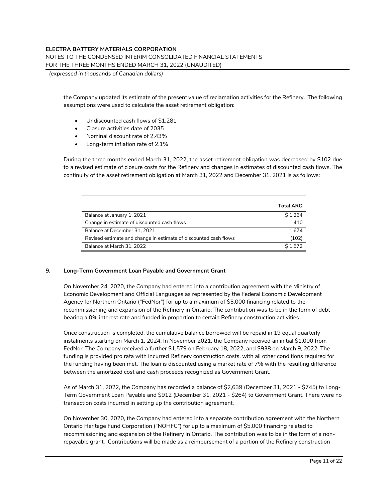NOTES TO THE CONDENSED INTERIM CONSOLIDATED FINANCIAL STATEMENTS FOR THE THREE MONTHS ENDED MARCH 31, 2022 (UNAUDITED)

*(expressed in thousands of Canadian dollars)*

the Company updated its estimate of the present value of reclamation activities for the Refinery. The following assumptions were used to calculate the asset retirement obligation:

- Undiscounted cash flows of \$1,281
- Closure activities date of 2035
- Nominal discount rate of 2.43%
- Long-term inflation rate of 2.1%

During the three months ended March 31, 2022, the asset retirement obligation was decreased by \$102 due to a revised estimate of closure costs for the Refinery and changes in estimates of discounted cash flows. The continuity of the asset retirement obligation at March 31, 2022 and December 31, 2021 is as follows:

|                                                                  | <b>Total ARO</b> |
|------------------------------------------------------------------|------------------|
| Balance at January 1, 2021                                       | \$1.264          |
| Change in estimate of discounted cash flows                      | 410              |
| Balance at December 31, 2021                                     | 1.674            |
| Revised estimate and change in estimate of discounted cash flows | (102)            |
| Balance at March 31, 2022                                        | \$1.572          |

#### **9. Long-Term Government Loan Payable and Government Grant**

On November 24, 2020, the Company had entered into a contribution agreement with the Ministry of Economic Development and Official Languages as represented by the Federal Economic Development Agency for Northern Ontario ("FedNor") for up to a maximum of \$5,000 financing related to the recommissioning and expansion of the Refinery in Ontario. The contribution was to be in the form of debt bearing a 0% interest rate and funded in proportion to certain Refinery construction activities.

Once construction is completed, the cumulative balance borrowed will be repaid in 19 equal quarterly instalments starting on March 1, 2024. In November 2021, the Company received an initial \$1,000 from FedNor. The Company received a further \$1,579 on February 18, 2022, and \$938 on March 9, 2022. The funding is provided pro rata with incurred Refinery construction costs, with all other conditions required for the funding having been met. The loan is discounted using a market rate of 7% with the resulting difference between the amortized cost and cash proceeds recognized as Government Grant.

As of March 31, 2022, the Company has recorded a balance of \$2,639 (December 31, 2021 - \$745) to Long-Term Government Loan Payable and \$912 (December 31, 2021 - \$264) to Government Grant. There were no transaction costs incurred in setting up the contribution agreement.

On November 30, 2020, the Company had entered into a separate contribution agreement with the Northern Ontario Heritage Fund Corporation ("NOHFC") for up to a maximum of \$5,000 financing related to recommissioning and expansion of the Refinery in Ontario. The contribution was to be in the form of a nonrepayable grant. Contributions will be made as a reimbursement of a portion of the Refinery construction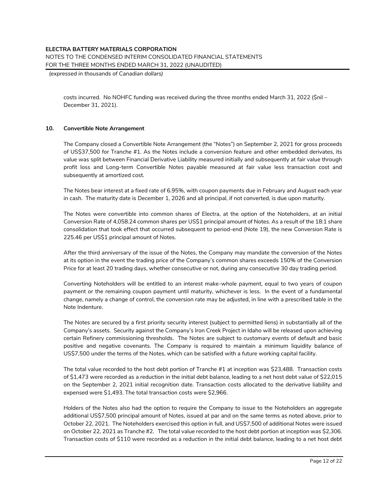NOTES TO THE CONDENSED INTERIM CONSOLIDATED FINANCIAL STATEMENTS FOR THE THREE MONTHS ENDED MARCH 31, 2022 (UNAUDITED)

*(expressed in thousands of Canadian dollars)*

costs incurred. No NOHFC funding was received during the three months ended March 31, 2022 (\$nil – December 31, 2021).

#### **10. Convertible Note Arrangement**

The Company closed a Convertible Note Arrangement (the "Notes") on September 2, 2021 for gross proceeds of US\$37,500 for Tranche #1. As the Notes include a conversion feature and other embedded derivates, its value was split between Financial Derivative Liability measured initially and subsequently at fair value through profit loss and Long-term Convertible Notes payable measured at fair value less transaction cost and subsequently at amortized cost.

The Notes bear interest at a fixed rate of 6.95%, with coupon payments due in February and August each year in cash. The maturity date is December 1, 2026 and all principal, if not converted, is due upon maturity.

The Notes were convertible into common shares of Electra, at the option of the Noteholders, at an initial Conversion Rate of 4,058.24 common shares per US\$1 principal amount of Notes. As a result of the 18:1 share consolidation that took effect that occurred subsequent to period-end (Note 19), the new Conversion Rate is 225.46 per US\$1 principal amount of Notes.

After the third anniversary of the issue of the Notes, the Company may mandate the conversion of the Notes at its option in the event the trading price of the Company's common shares exceeds 150% of the Conversion Price for at least 20 trading days, whether consecutive or not, during any consecutive 30 day trading period.

Converting Noteholders will be entitled to an interest make-whole payment, equal to two years of coupon payment or the remaining coupon payment until maturity, whichever is less. In the event of a fundamental change, namely a change of control, the conversion rate may be adjusted, in line with a prescribed table in the Note Indenture.

The Notes are secured by a first priority security interest (subject to permitted liens) in substantially all of the Company's assets. Security against the Company's Iron Creek Project in Idaho will be released upon achieving certain Refinery commissioning thresholds. The Notes are subject to customary events of default and basic positive and negative covenants. The Company is required to maintain a minimum liquidity balance of US\$7,500 under the terms of the Notes, which can be satisfied with a future working capital facility.

The total value recorded to the host debt portion of Tranche #1 at inception was \$23,488. Transaction costs of \$1,473 were recorded as a reduction in the initial debt balance, leading to a net host debt value of \$22,015 on the September 2, 2021 initial recognition date. Transaction costs allocated to the derivative liability and expensed were \$1,493. The total transaction costs were \$2,966.

Holders of the Notes also had the option to require the Company to issue to the Noteholders an aggregate additional US\$7,500 principal amount of Notes, issued at par and on the same terms as noted above, prior to October 22, 2021. The Noteholders exercised this option in full, and US\$7,500 of additional Notes were issued on October 22, 2021 as Tranche #2. The total value recorded to the host debt portion at inception was \$2,306. Transaction costs of \$110 were recorded as a reduction in the initial debt balance, leading to a net host debt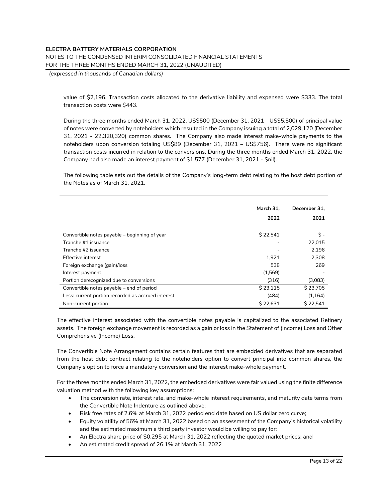## **ELECTRA BATTERY MATERIALS CORPORATION** NOTES TO THE CONDENSED INTERIM CONSOLIDATED FINANCIAL STATEMENTS FOR THE THREE MONTHS ENDED MARCH 31, 2022 (UNAUDITED)

*(expressed in thousands of Canadian dollars)*

value of \$2,196. Transaction costs allocated to the derivative liability and expensed were \$333. The total transaction costs were \$443.

During the three months ended March 31, 2022, US\$500 (December 31, 2021 - US\$5,500) of principal value of notes were converted by noteholders which resulted in the Company issuing a total of 2,029,120 (December 31, 2021 - 22,320,320) common shares. The Company also made interest make-whole payments to the noteholders upon conversion totaling US\$89 (December 31, 2021 – US\$756). There were no significant transaction costs incurred in relation to the conversions. During the three months ended March 31, 2022, the Company had also made an interest payment of \$1,577 (December 31, 2021 - \$nil).

The following table sets out the details of the Company's long-term debt relating to the host debt portion of the Notes as of March 31, 2021.

|                                                    | March 31, | December 31. |
|----------------------------------------------------|-----------|--------------|
|                                                    | 2022      | 2021         |
|                                                    |           |              |
| Convertible notes payable – beginning of year      | \$22,541  | \$ -         |
| Tranche #1 issuance                                |           | 22.015       |
| Tranche #2 issuance                                |           | 2.196        |
| Effective interest                                 | 1.921     | 2.308        |
| Foreign exchange (gain)/loss                       | 538       | 269          |
| Interest payment                                   | (1,569)   |              |
| Portion derecognized due to conversions            | (316)     | (3,083)      |
| Convertible notes payable – end of period          | \$23,115  | \$23,705     |
| Less: current portion recorded as accrued interest | (484)     | (1, 164)     |
| Non-current portion                                | \$22,631  | S 22.541     |

The effective interest associated with the convertible notes payable is capitalized to the associated Refinery assets. The foreign exchange movement is recorded as a gain or loss in the Statement of (Income) Loss and Other Comprehensive (Income) Loss.

The Convertible Note Arrangement contains certain features that are embedded derivatives that are separated from the host debt contract relating to the noteholders option to convert principal into common shares, the Company's option to force a mandatory conversion and the interest make-whole payment.

For the three months ended March 31, 2022, the embedded derivatives were fair valued using the finite difference valuation method with the following key assumptions:

- The conversion rate, interest rate, and make-whole interest requirements, and maturity date terms from the Convertible Note Indenture as outlined above;
- Risk free rates of 2.6% at March 31, 2022 period end date based on US dollar zero curve;
- Equity volatility of 56% at March 31, 2022 based on an assessment of the Company's historical volatility and the estimated maximum a third party investor would be willing to pay for;
- An Electra share price of \$0.295 at March 31, 2022 reflecting the quoted market prices; and
- An estimated credit spread of 26.1% at March 31, 2022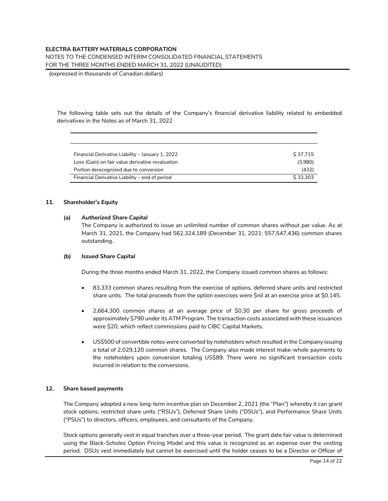## NOTES TO THE CONDENSED INTERIM CONSOLIDATED FINANCIAL STATEMENTS

FOR THE THREE MONTHS ENDED MARCH 31, 2022 (UNAUDITED)

*(expressed in thousands of Canadian dollars)*

The following table sets out the details of the Company's financial derivative liability related to embedded derivatives in the Notes as of March 31, 2022

| Financial Derivative Liability – January 1, 2022 | S 37.715 |
|--------------------------------------------------|----------|
| Loss (Gain) on fair value derivative revaluation | (3.980)  |
| Portion derecognized due to conversion           | (432)    |
| Financial Derivative Liability – end of period   | \$33,303 |

#### **11. Shareholder's Equity**

#### *(a) Authorized Share Capital*

The Company is authorized to issue an unlimited number of common shares without par value. As at March 31, 2021, the Company had 562,324,189 (December 31, 2021: 557,547,436) common shares outstanding.

#### *(b) Issued Share Capital*

During the three months ended March 31, 2022, the Company issued common shares as follows:

- 83,333 common shares resulting from the exercise of options, deferred share units and restricted share units. The total proceeds from the option exercises were \$nil at an exercise price at \$0.145.
- 2,664,300 common shares at an average price of \$0.30 per share for gross proceeds of approximately \$790 under its ATM Program. The transaction costs associated with these issuances were \$20, which reflect commissions paid to CIBC Capital Markets.
- US\$500 of convertible notes were converted by noteholders which resulted in the Company issuing a total of 2,029,120 common shares. The Company also made interest make-whole payments to the noteholders upon conversion totaling US\$89. There were no significant transaction costs incurred in relation to the conversions.

#### **12. Share based payments**

The Company adopted a new long-term incentive plan on December 2, 2021 (the "Plan") whereby it can grant stock options, restricted share units ("RSUs"), Deferred Share Units ("DSUs"), and Performance Share Units ("PSUs") to directors, officers, employees, and consultants of the Company.

Stock options generally vest in equal tranches over a three-year period. The grant date fair value is determined using the Black-Scholes Option Pricing Model and this value is recognized as an expense over the vesting period. DSUs vest immediately but cannot be exercised until the holder ceases to be a Director or Officer of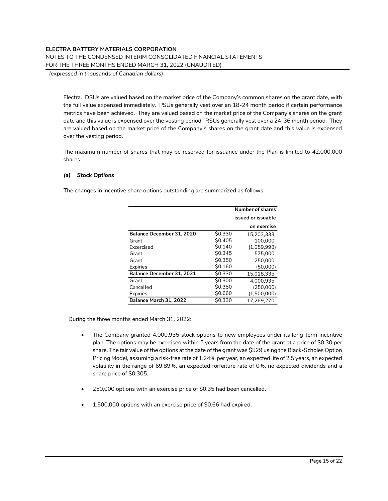NOTES TO THE CONDENSED INTERIM CONSOLIDATED FINANCIAL STATEMENTS

FOR THE THREE MONTHS ENDED MARCH 31, 2022 (UNAUDITED)

*(expressed in thousands of Canadian dollars)*

Electra. DSUs are valued based on the market price of the Company's common shares on the grant date, with the full value expensed immediately. PSUs generally vest over an 18-24 month period if certain performance metrics have been achieved. They are valued based on the market price of the Company's shares on the grant date and this value is expensed over the vesting period. RSUs generally vest over a 24-36 month period. They are valued based on the market price of the Company's shares on the grant date and this value is expensed over the vesting period.

The maximum number of shares that may be reserved for issuance under the Plan is limited to 42,000,000 shares.

### *(a) Stock Options*

The changes in incentive share options outstanding are summarized as follows:

|                           |         | Number of shares   |
|---------------------------|---------|--------------------|
|                           |         | issued or issuable |
|                           |         | on exercise        |
| Balance December 31, 2020 | \$0.330 | 15.203.333         |
| Grant                     | \$0.405 | 100.000            |
| Excercised                | \$0.140 | (1,059,998)        |
| Grant                     | \$0.345 | 575.000            |
| Grant                     | \$0.350 | 250.000            |
| Expiries                  | \$0.160 | (50,000)           |
| Balance December 31, 2021 | \$0.330 | 15,018,335         |
| Grant                     | \$0.300 | 4.000.935          |
| Cancelled                 | \$0.350 | (250,000)          |
| Expiries                  | \$0.660 | (1,500,000)        |
| Balance March 31, 2022    | \$0.330 | 17.269.270         |

During the three months ended March 31, 2022:

- The Company granted 4,000,935 stock options to new employees under its long-term incentive plan. The options may be exercised within 5 years from the date of the grant at a price of \$0.30 per share. The fair value of the options at the date of the grant was \$529 using the Black-Scholes Option Pricing Model, assuming a risk-free rate of 1.24% per year, an expected life of 2.5 years, an expected volatility in the range of 69.89%, an expected forfeiture rate of 0%, no expected dividends and a share price of \$0.305.
- 250,000 options with an exercise price of \$0.35 had been cancelled.
- 1,500,000 options with an exercise price of \$0.66 had expired.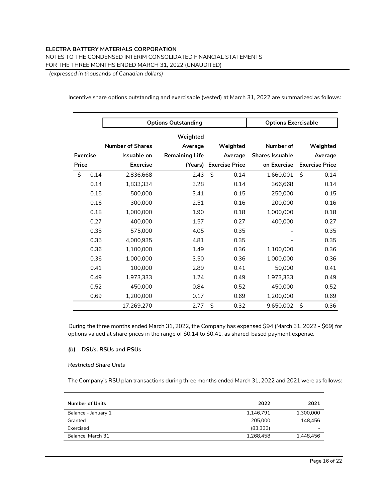#### **ELECTRA BATTERY MATERIALS CORPORATION** NOTES TO THE CONDENSED INTERIM CONSOLIDATED FINANCIAL STATEMENTS

FOR THE THREE MONTHS ENDED MARCH 31, 2022 (UNAUDITED)

*(expressed in thousands of Canadian dollars)*

Incentive share options outstanding and exercisable (vested) at March 31, 2022 are summarized as follows:

|                 | <b>Options Outstanding</b> |                         |                       |    |                       | <b>Options Exercisable</b> |    |                       |
|-----------------|----------------------------|-------------------------|-----------------------|----|-----------------------|----------------------------|----|-----------------------|
|                 |                            |                         | Weighted              |    |                       |                            |    |                       |
|                 |                            | <b>Number of Shares</b> | Average               |    | Weighted              | Number of                  |    | Weighted              |
| <b>Exercise</b> |                            | Issuable on             | <b>Remaining Life</b> |    | Average               | <b>Shares Issuable</b>     |    | Average               |
| Price           |                            | <b>Exercise</b>         | (Years)               |    | <b>Exercise Price</b> | on Exercise                |    | <b>Exercise Price</b> |
| \$              | 0.14                       | 2,836,668               | 2.43                  | Ś. | 0.14                  | 1.660.001                  | Ś. | 0.14                  |
|                 | 0.14                       | 1,833,334               | 3.28                  |    | 0.14                  | 366,668                    |    | 0.14                  |
|                 | 0.15                       | 500,000                 | 3.41                  |    | 0.15                  | 250,000                    |    | 0.15                  |
|                 | 0.16                       | 300,000                 | 2.51                  |    | 0.16                  | 200,000                    |    | 0.16                  |
|                 | 0.18                       | 1,000,000               | 1.90                  |    | 0.18                  | 1,000,000                  |    | 0.18                  |
|                 | 0.27                       | 400,000                 | 1.57                  |    | 0.27                  | 400,000                    |    | 0.27                  |
|                 | 0.35                       | 575,000                 | 4.05                  |    | 0.35                  |                            |    | 0.35                  |
|                 | 0.35                       | 4,000,935               | 4.81                  |    | 0.35                  |                            |    | 0.35                  |
|                 | 0.36                       | 1,100,000               | 1.49                  |    | 0.36                  | 1,100,000                  |    | 0.36                  |
|                 | 0.36                       | 1,000,000               | 3.50                  |    | 0.36                  | 1,000,000                  |    | 0.36                  |
|                 | 0.41                       | 100,000                 | 2.89                  |    | 0.41                  | 50,000                     |    | 0.41                  |
|                 | 0.49                       | 1,973,333               | 1.24                  |    | 0.49                  | 1,973,333                  |    | 0.49                  |
|                 | 0.52                       | 450,000                 | 0.84                  |    | 0.52                  | 450,000                    |    | 0.52                  |
|                 | 0.69                       | 1,200,000               | 0.17                  |    | 0.69                  | 1,200,000                  |    | 0.69                  |
|                 |                            | 17,269,270              | 2.77                  | \$ | 0.32                  | 9,650,002                  | \$ | 0.36                  |

During the three months ended March 31, 2022, the Company has expensed \$94 (March 31, 2022 - \$69) for options valued at share prices in the range of \$0.14 to \$0.41, as shared-based payment expense.

## *(b) DSUs, RSUs and PSUs*

*Restricted Share Units*

The Company's RSU plan transactions during three months ended March 31, 2022 and 2021 were as follows:

| <b>Number of Units</b> | 2022      | 2021      |
|------------------------|-----------|-----------|
| Balance - January 1    | 1,146,791 | 1,300,000 |
| Granted                | 205,000   | 148.456   |
| Exercised              | (83,333)  |           |
| Balance, March 31      | 1,268,458 | 1,448,456 |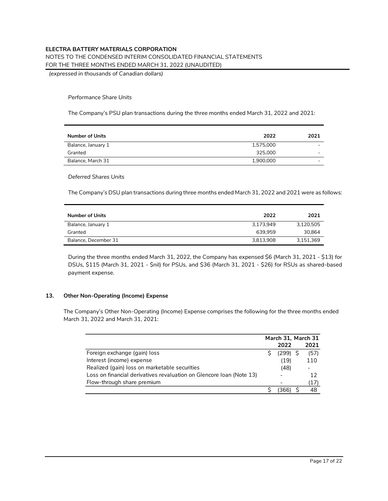NOTES TO THE CONDENSED INTERIM CONSOLIDATED FINANCIAL STATEMENTS

FOR THE THREE MONTHS ENDED MARCH 31, 2022 (UNAUDITED)

*(expressed in thousands of Canadian dollars)*

#### *Performance Share Units*

The Company's PSU plan transactions during the three months ended March 31, 2022 and 2021:

| <b>Number of Units</b> | 2022      | 2021 |
|------------------------|-----------|------|
| Balance, January 1     | 1,575,000 | -    |
| Granted                | 325,000   |      |
| Balance, March 31      | 1,900,000 | -    |

#### *Deferred Shares Units*

The Company's DSU plan transactions during three months ended March 31, 2022 and 2021 were as follows:

| <b>Number of Units</b> | 2022      | 2021      |
|------------------------|-----------|-----------|
| Balance, January 1     | 3.173.949 | 3.120.505 |
| Granted                | 639.959   | 30.864    |
| Balance, December 31   | 3.813.908 | 3.151.369 |

During the three months ended March 31, 2022, the Company has expensed \$6 (March 31, 2021 - \$13) for DSUs, \$115 (March 31, 2021 - \$nil) for PSUs, and \$36 (March 31, 2021 - \$26) for RSUs as shared-based payment expense.

## **13. Other Non-Operating (Income) Expense**

The Company's Other Non-Operating (Income) Expense comprises the following for the three months ended March 31, 2022 and March 31, 2021:

|                                                                      | March 31, March 31 |      |
|----------------------------------------------------------------------|--------------------|------|
|                                                                      | 2022               | 2021 |
| Foreign exchange (gain) loss                                         | $(299)$ \$         | (57) |
| Interest (income) expense                                            | (19)               | 110  |
| Realized (gain) loss on marketable securities                        | (48)               |      |
| Loss on financial derivatives revaluation on Glencore Ioan (Note 13) |                    | 12   |
| Flow-through share premium                                           |                    | (17) |
|                                                                      |                    | 48   |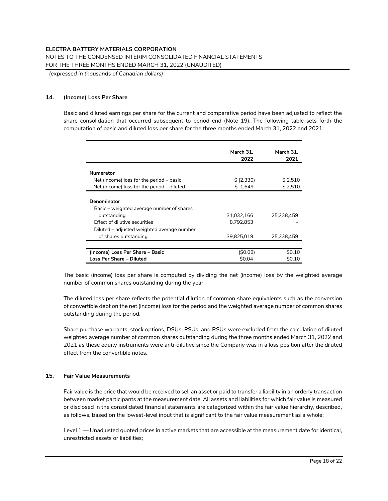*(expressed in thousands of Canadian dollars)*

## **14. (Income) Loss Per Share**

Basic and diluted earnings per share for the current and comparative period have been adjusted to reflect the share consolidation that occurred subsequent to period-end (Note 19). The following table sets forth the computation of basic and diluted loss per share for the three months ended March 31, 2022 and 2021:

|                                                                                                          | March 31,<br>2022       | March 31.<br>2021 |
|----------------------------------------------------------------------------------------------------------|-------------------------|-------------------|
| <b>Numerator</b>                                                                                         |                         |                   |
| Net (Income) loss for the period – basic                                                                 | \$ (2,330)              | \$2,510           |
| Net (Income) loss for the period – diluted                                                               | \$1.649                 | \$2,510           |
| Denominator<br>Basic – weighted average number of shares<br>outstanding<br>Effect of dilutive securities | 31,032,166<br>8,792,853 | 25,238,459        |
| Diluted – adjusted weighted average number                                                               |                         |                   |
| of shares outstanding                                                                                    | 39,825,019              | 25,238,459        |
| (Income) Loss Per Share - Basic                                                                          | (S0.08)                 | \$0.10            |
| Loss Per Share – Diluted                                                                                 | <b>SO.04</b>            | S0.10             |

The basic (income) loss per share is computed by dividing the net (income) loss by the weighted average number of common shares outstanding during the year.

The diluted loss per share reflects the potential dilution of common share equivalents such as the conversion of convertible debt on the net (income) loss for the period and the weighted average number of common shares outstanding during the period.

Share purchase warrants, stock options, DSUs, PSUs, and RSUs were excluded from the calculation of diluted weighted average number of common shares outstanding during the three months ended March 31, 2022 and 2021 as these equity instruments were anti-dilutive since the Company was in a loss position after the diluted effect from the convertible notes.

## **15. Fair Value Measurements**

Fair value is the price that would be received to sell an asset or paid to transfer a liability in an orderly transaction between market participants at the measurement date. All assets and liabilities for which fair value is measured or disclosed in the consolidated financial statements are categorized within the fair value hierarchy, described, as follows, based on the lowest-level input that is significant to the fair value measurement as a whole:

Level 1 — Unadjusted quoted prices in active markets that are accessible at the measurement date for identical, unrestricted assets or liabilities;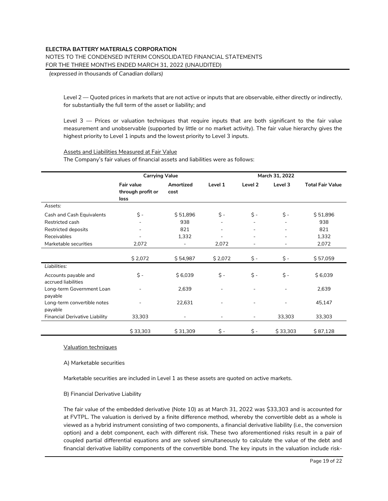NOTES TO THE CONDENSED INTERIM CONSOLIDATED FINANCIAL STATEMENTS

FOR THE THREE MONTHS ENDED MARCH 31, 2022 (UNAUDITED)

*(expressed in thousands of Canadian dollars)*

Level 2 — Quoted prices in markets that are not active or inputs that are observable, either directly or indirectly, for substantially the full term of the asset or liability; and

Level 3 — Prices or valuation techniques that require inputs that are both significant to the fair value measurement and unobservable (supported by little or no market activity). The fair value hierarchy gives the highest priority to Level 1 inputs and the lowest priority to Level 3 inputs.

#### Assets and Liabilities Measured at Fair Value

The Company's fair values of financial assets and liabilities were as follows:

|                                             | <b>Carrying Value</b>                   |                   |         |                              | March 31, 2022 |                         |
|---------------------------------------------|-----------------------------------------|-------------------|---------|------------------------------|----------------|-------------------------|
|                                             | Fair value<br>through profit or<br>loss | Amortized<br>cost | Level 1 | Level 2                      | Level 3        | <b>Total Fair Value</b> |
| Assets:                                     |                                         |                   |         |                              |                |                         |
| Cash and Cash Equivalents                   | \$ -                                    | \$51,896          | \$ -    | \$ -                         | \$ -           | \$51,896                |
| Restricted cash                             |                                         | 938               |         |                              |                | 938                     |
| Restricted deposits                         |                                         | 821               |         |                              |                | 821                     |
| Receivables                                 |                                         | 1,332             |         |                              |                | 1,332                   |
| Marketable securities                       | 2,072                                   |                   | 2,072   |                              |                | 2,072                   |
|                                             | \$2,072                                 | \$54,987          | \$2,072 | \$ -                         | \$ -           | \$57,059                |
| Liabilities:                                |                                         |                   |         |                              |                |                         |
| Accounts payable and<br>accrued liabilities | \$ -                                    | \$6,039           | \$ -    | $\zeta$ -                    | $\zeta$ -      | \$6,039                 |
| Long-term Government Loan<br>payable        |                                         | 2,639             |         |                              |                | 2,639                   |
| Long-term convertible notes<br>payable      |                                         | 22,631            |         |                              |                | 45,147                  |
| Financial Derivative Liability              | 33,303                                  |                   |         | $\qquad \qquad \blacksquare$ | 33,303         | 33,303                  |
|                                             |                                         |                   |         |                              |                |                         |
|                                             | \$33,303                                | \$31,309          | \$ -    | \$ -                         | \$33,303       | \$87,128                |

Valuation techniques

A) Marketable securities

Marketable securities are included in Level 1 as these assets are quoted on active markets.

#### B) Financial Derivative Liability

The fair value of the embedded derivative (Note 10) as at March 31, 2022 was \$33,303 and is accounted for at FVTPL. The valuation is derived by a finite difference method, whereby the convertible debt as a whole is viewed as a hybrid instrument consisting of two components, a financial derivative liability (i.e., the conversion option) and a debt component, each with different risk. These two aforementioned risks result in a pair of coupled partial differential equations and are solved simultaneously to calculate the value of the debt and financial derivative liability components of the convertible bond. The key inputs in the valuation include risk-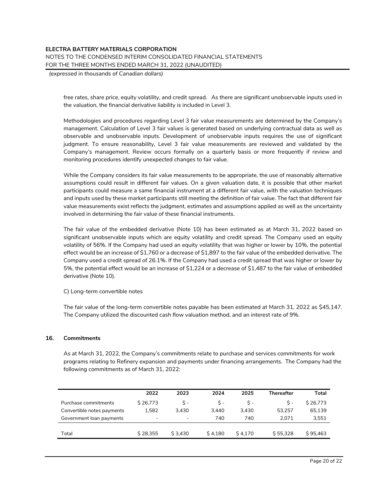## **ELECTRA BATTERY MATERIALS CORPORATION** NOTES TO THE CONDENSED INTERIM CONSOLIDATED FINANCIAL STATEMENTS FOR THE THREE MONTHS ENDED MARCH 31, 2022 (UNAUDITED)

*(expressed in thousands of Canadian dollars)*

free rates, share price, equity volatility, and credit spread. As there are significant unobservable inputs used in the valuation, the financial derivative liability is included in Level 3.

Methodologies and procedures regarding Level 3 fair value measurements are determined by the Company's management. Calculation of Level 3 fair values is generated based on underlying contractual data as well as observable and unobservable inputs. Development of unobservable inputs requires the use of significant judgment. To ensure reasonability, Level 3 fair value measurements are reviewed and validated by the Company's management. Review occurs formally on a quarterly basis or more frequently if review and monitoring procedures identify unexpected changes to fair value.

While the Company considers its fair value measurements to be appropriate, the use of reasonably alternative assumptions could result in different fair values. On a given valuation date, it is possible that other market participants could measure a same financial instrument at a different fair value, with the valuation techniques and inputs used by these market participants still meeting the definition of fair value. The fact that different fair value measurements exist reflects the judgment, estimates and assumptions applied as well as the uncertainty involved in determining the fair value of these financial instruments.

The fair value of the embedded derivative (Note 10) has been estimated as at March 31, 2022 based on significant unobservable inputs which are equity volatility and credit spread. The Company used an equity volatility of 56%. If the Company had used an equity volatility that was higher or lower by 10%, the potential effect would be an increase of \$1,760 or a decrease of \$1,897 to the fair value of the embedded derivative. The Company used a credit spread of 26.1%. If the Company had used a credit spread that was higher or lower by 5%, the potential effect would be an increase of \$1,224 or a decrease of \$1,487 to the fair value of embedded derivative (Note 10).

#### C) Long-term convertible notes

The fair value of the long-term convertible notes payable has been estimated at March 31, 2022 as \$45,147. The Company utilized the discounted cash flow valuation method, and an interest rate of 9%.

#### **16. Commitments**

As at March 31, 2022, the Company's commitments relate to purchase and services commitments for work programs relating to Refinery expansion and payments under financing arrangements. The Company had the following commitments as of March 31, 2022:

|                            | 2022                     | 2023                     | 2024    | 2025    | <b>Thereafter</b> | Total    |
|----------------------------|--------------------------|--------------------------|---------|---------|-------------------|----------|
| Purchase commitments       | S 26.773                 | Ś -                      | Ś -     | Ś -     | S -               | S 26.773 |
| Convertible notes payments | 1.582                    | 3.430                    | 3.440   | 3.430   | 53.257            | 65,139   |
| Government loan payments   | $\overline{\phantom{a}}$ | $\overline{\phantom{a}}$ | 740     | 740     | 2.071             | 3,551    |
|                            |                          |                          |         |         |                   |          |
| Total                      | \$28.355                 | \$3,430                  | \$4.180 | \$4.170 | \$55,328          | \$95.463 |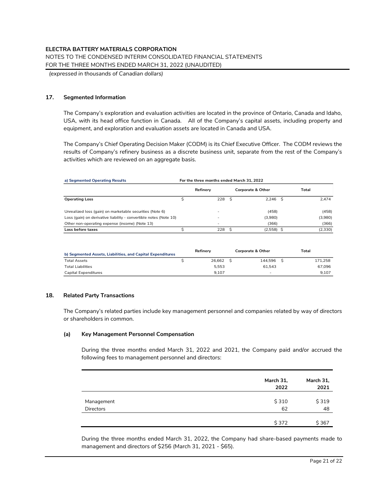*(expressed in thousands of Canadian dollars)*

## **17. Segmented Information**

The Company's exploration and evaluation activities are located in the province of Ontario, Canada and Idaho, USA, with its head office function in Canada. All of the Company's capital assets, including property and equipment, and exploration and evaluation assets are located in Canada and USA.

The Company's Chief Operating Decision Maker (CODM) is its Chief Executive Officer. The CODM reviews the results of Company's refinery business as a discrete business unit, separate from the rest of the Company's activities which are reviewed on an aggregate basis.

| a) Segmented Operating Results                                    | For the three months ended March 31, 2022 |          |    |                   |  |         |  |
|-------------------------------------------------------------------|-------------------------------------------|----------|----|-------------------|--|---------|--|
|                                                                   |                                           | Refinery |    | Corporate & Other |  | Total   |  |
| <b>Operating Loss</b>                                             |                                           | 228      | -Ŝ | $2.246$ \$        |  | 2.474   |  |
| Unrealized loss (gain) on marketable securities (Note 6)          |                                           |          |    | (458)             |  | (458)   |  |
| Loss (gain) on derivative liability - convertible notes (Note 10) |                                           |          |    | (3,980)           |  | (3,980) |  |
| Other non-operating expense (income) (Note 13)                    |                                           |          |    | (366)             |  | (366)   |  |
| Loss before taxes                                                 |                                           | 228      | Ŝ  | $(2,558)$ \$      |  | (2,330) |  |

| b) Segmented Assets, Liabilities, and Capital Expenditures | Refinerv | <b>Corporate &amp; Other</b> | Total   |
|------------------------------------------------------------|----------|------------------------------|---------|
| <b>Total Assets</b>                                        | 26.662   | 144.596                      | 171.258 |
| <b>Total Liabilities</b>                                   | 5.553    | 61.543                       | 67.096  |
| Capital Expenditures                                       | 9.107    | -                            | 9.107   |

#### **18. Related Party Transactions**

The Company's related parties include key management personnel and companies related by way of directors or shareholders in common.

#### **(a) Key Management Personnel Compensation**

During the three months ended March 31, 2022 and 2021, the Company paid and/or accrued the following fees to management personnel and directors:

|                  | March 31,<br>2022 | March 31,<br>2021 |
|------------------|-------------------|-------------------|
| Management       | \$310             | \$319             |
| <b>Directors</b> | 62                | 48                |
|                  | \$372             | \$367             |

During the three months ended March 31, 2022, the Company had share-based payments made to management and directors of \$256 (March 31, 2021 - \$65).